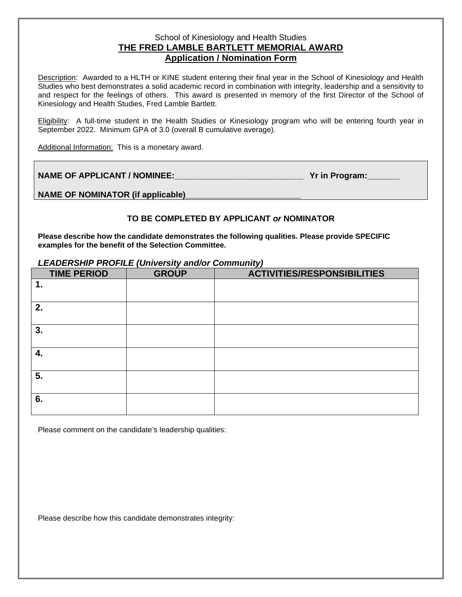## School of Kinesiology and Health Studies **THE FRED LAMBLE BARTLETT MEMORIAL AWARD Application / Nomination Form**

Description: Awarded to a HLTH or KINE student entering their final year in the School of Kinesiology and Health Studies who best demonstrates a solid academic record in combination with integrity, leadership and a sensitivity to and respect for the feelings of others. This award is presented in memory of the first Director of the School of Kinesiology and Health Studies, Fred Lamble Bartlett.

Eligibility: A full-time student in the Health Studies or Kinesiology program who will be entering fourth year in September 2022. Minimum GPA of 3.0 (overall B cumulative average).

Additional Information: This is a monetary award.

**NAME OF APPLICANT / NOMINEE:\_\_\_\_\_\_\_\_\_\_\_\_\_\_\_\_\_\_\_\_\_\_\_\_\_\_\_\_ Yr in Program:\_\_\_\_\_\_\_**

**NAME OF NOMINATOR (if applicable)\_\_\_\_\_\_\_\_\_\_\_\_\_\_\_\_\_\_\_\_\_\_\_\_\_**

## **TO BE COMPLETED BY APPLICANT** *or* **NOMINATOR**

**Please describe how the candidate demonstrates the following qualities. Please provide SPECIFIC examples for the benefit of the Selection Committee.**

## *LEADERSHIP PROFILE (University and/or Community)*

| <b>TIME PERIOD</b> | <b>GROUP</b> | <b>ACTIVITIES/RESPONSIBILITIES</b> |
|--------------------|--------------|------------------------------------|
| $\mathbf 1$ .      |              |                                    |
| 2.                 |              |                                    |
| 3.                 |              |                                    |
| 4.                 |              |                                    |
| 5.                 |              |                                    |
| 6.                 |              |                                    |

Please comment on the candidate's leadership qualities:

Please describe how this candidate demonstrates integrity: